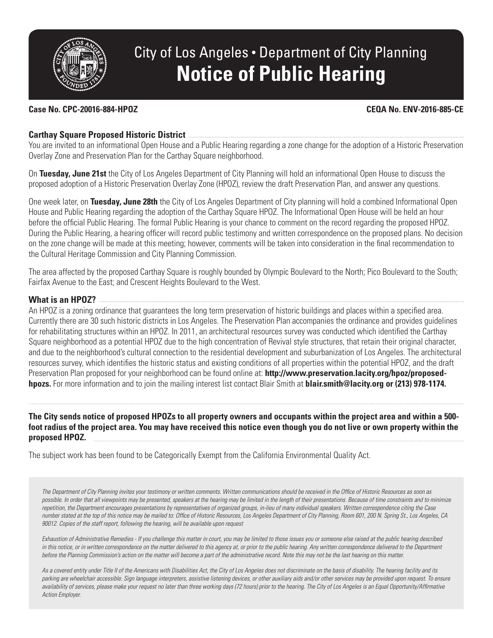

# City of Los Angeles • Department of City Planning **Notice of Public Hearing**

#### **Case No. CPC-20016-884-HPOZ CEQA No. ENV-2016-885-CE**

### **Carthay Square Proposed Historic District**

You are invited to an informational Open House and a Public Hearing regarding a zone change for the adoption of a Historic Preservation Overlay Zone and Preservation Plan for the Carthay Square neighborhood.

On **Tuesday, June 21st** the City of Los Angeles Department of City Planning will hold an informational Open House to discuss the proposed adoption of a Historic Preservation Overlay Zone (HPOZ), review the draft Preservation Plan, and answer any questions.

One week later, on **Tuesday, June 28th** the City of Los Angeles Department of City planning will hold a combined Informational Open House and Public Hearing regarding the adoption of the Carthay Square HPOZ. The Informational Open House will be held an hour before the official Public Hearing. The formal Public Hearing is your chance to comment on the record regarding the proposed HPOZ. During the Public Hearing, a hearing officer will record public testimony and written correspondence on the proposed plans. No decision on the zone change will be made at this meeting; however, comments will be taken into consideration in the final recommendation to the Cultural Heritage Commission and City Planning Commission.

The area affected by the proposed Carthay Square is roughly bounded by Olympic Boulevard to the North; Pico Boulevard to the South; Fairfax Avenue to the East; and Crescent Heights Boulevard to the West.

#### **What is an HPOZ?**

An HPOZ is a zoning ordinance that guarantees the long term preservation of historic buildings and places within a specified area. Currently there are 30 such historic districts in Los Angeles. The Preservation Plan accompanies the ordinance and provides guidelines for rehabilitating structures within an HPOZ. In 2011, an architectural resources survey was conducted which identified the Carthay Square neighborhood as a potential HPOZ due to the high concentration of Revival style structures, that retain their original character, and due to the neighborhood's cultural connection to the residential development and suburbanization of Los Angeles. The architectural resources survey, which identifies the historic status and existing conditions of all properties within the potential HPOZ, and the draft Preservation Plan proposed for your neighborhood can be found online at: **http://www.preservation.lacity.org/hpoz/proposedhpozs.** For more information and to join the mailing interest list contact Blair Smith at **blair.smith@lacity.org or (213) 978-1174.**

**The City sends notice of proposed HPOZs to all property owners and occupants within the project area and within a 500 foot radius of the project area. You may have received this notice even though you do not live or own property within the proposed HPOZ.**

The subject work has been found to be Categorically Exempt from the California Environmental Quality Act.

*The Department of City Planning invites your testimony or written comments. Written communications should be received in the Office of Historic Resources as soon as*  possible. In order that all viewpoints may be presented, speakers at the hearing may be limited in the length of their presentations. Because of time constraints and to minimize *repetition, the Department encourages presentations by representatives of organized groups, in-lieu of many individual speakers. Written correspondence citing the Case number stated at the top of this notice may be mailed to: Office of Historic Resources, Los Angeles Department of City Planning, Room 601, 200 N. Spring St., Los Angeles, CA 90012. Copies of the staff report, following the hearing, will be available upon request*

*Exhaustion of Administrative Remedies - If you challenge this matter in court, you may be limited to those issues you or someone else raised at the public hearing described*  in this notice, or in written correspondence on the matter delivered to this agency at, or prior to the public hearing. Any written correspondence delivered to the Department *before the Planning Commission's action on the matter will become a part of the administrative record. Note this may not be the last hearing on this matter.* 

*As a covered entity under Title II of the Americans with Disabilities Act, the City of Los Angeles does not discriminate on the basis of disability. The hearing facility and its*  parking are wheelchair accessible. Sign language interpreters, assistive listening devices, or other auxiliary aids and/or other services may be provided upon request. To ensure availability of services, please make your request no later than three working days (72 hours) prior to the hearing. The City of Los Angeles is an Equal Opportunity/Affirmative *Action Employer.*